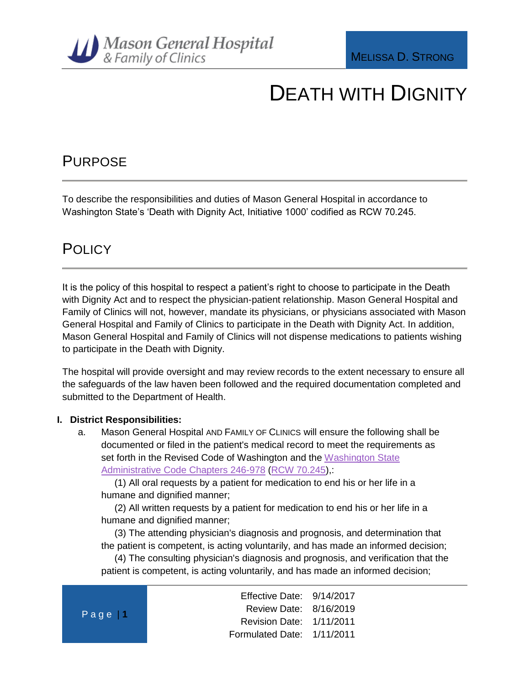

### PURPOSE

To describe the responsibilities and duties of Mason General Hospital in accordance to Washington State's 'Death with Dignity Act, Initiative 1000' codified as RCW 70.245.

### **POLICY**

It is the policy of this hospital to respect a patient's right to choose to participate in the Death with Dignity Act and to respect the physician-patient relationship. Mason General Hospital and Family of Clinics will not, however, mandate its physicians, or physicians associated with Mason General Hospital and Family of Clinics to participate in the Death with Dignity Act. In addition, Mason General Hospital and Family of Clinics will not dispense medications to patients wishing to participate in the Death with Dignity.

The hospital will provide oversight and may review records to the extent necessary to ensure all the safeguards of the law haven been followed and the required documentation completed and submitted to the Department of Health.

#### **I. District Responsibilities:**

a. Mason General Hospital AND FAMILY OF CLINICS will ensure the following shall be documented or filed in the patient's medical record to meet the requirements as set forth in the Revised Code of Washington and the Washington State [Administrative Code Chapters 246-978](http://app.leg.wa.gov/wac/default.aspx?cite=246-978) [\(RCW 70.245\)](70.245),:

(1) All oral requests by a patient for medication to end his or her life in a humane and dignified manner;

(2) All written requests by a patient for medication to end his or her life in a humane and dignified manner;

(3) The attending physician's diagnosis and prognosis, and determination that the patient is competent, is acting voluntarily, and has made an informed decision;

(4) The consulting physician's diagnosis and prognosis, and verification that the patient is competent, is acting voluntarily, and has made an informed decision;

| Page $\vert$ 1 | Effective Date: 9/14/2017  |  |
|----------------|----------------------------|--|
|                | Review Date: 8/16/2019     |  |
|                | Revision Date: 1/11/2011   |  |
|                | Formulated Date: 1/11/2011 |  |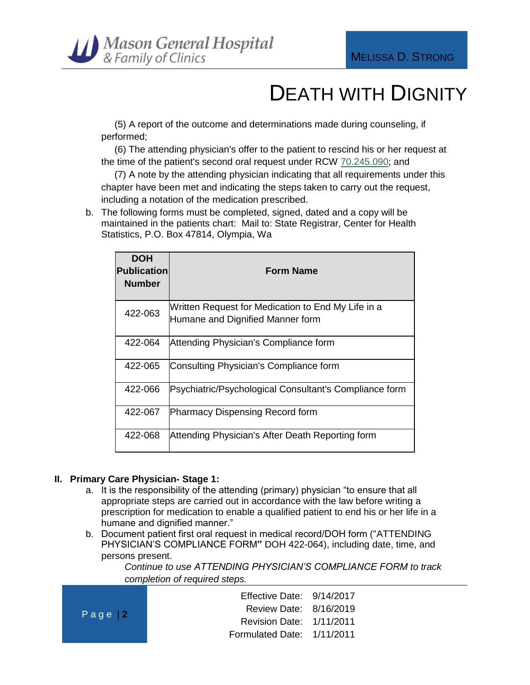

(5) A report of the outcome and determinations made during counseling, if performed;

(6) The attending physician's offer to the patient to rescind his or her request at the time of the patient's second oral request under RCW [70.245.090;](http://apps.leg.wa.gov/RCW/default.aspx?cite=70.245.090) and

(7) A note by the attending physician indicating that all requirements under this chapter have been met and indicating the steps taken to carry out the request, including a notation of the medication prescribed.

b. The following forms must be completed, signed, dated and a copy will be maintained in the patients chart: Mail to: State Registrar, Center for Health Statistics, P.O. Box 47814, Olympia, Wa

| <b>DOH</b><br><b>Publication</b><br><b>Number</b> | <b>Form Name</b>                                                                       |
|---------------------------------------------------|----------------------------------------------------------------------------------------|
| 422-063                                           | Written Request for Medication to End My Life in a<br>Humane and Dignified Manner form |
| 422-064                                           | Attending Physician's Compliance form                                                  |
| 422-065                                           | Consulting Physician's Compliance form                                                 |
| 422-066                                           | Psychiatric/Psychological Consultant's Compliance form                                 |
| 422-067                                           | <b>Pharmacy Dispensing Record form</b>                                                 |
| 422-068                                           | Attending Physician's After Death Reporting form                                       |

#### **II. Primary Care Physician- Stage 1:**

- a. It is the responsibility of the attending (primary) physician "to ensure that all appropriate steps are carried out in accordance with the law before writing a prescription for medication to enable a qualified patient to end his or her life in a humane and dignified manner."
- b. Document patient first oral request in medical record/DOH form ("ATTENDING PHYSICIAN'S COMPLIANCE FORM**"** DOH 422-064), including date, time, and persons present.

*Continue to use ATTENDING PHYSICIAN'S COMPLIANCE FORM to track completion of required steps.*

| Page $ 2 $ | Effective Date: 9/14/2017  |  |
|------------|----------------------------|--|
|            | Review Date: 8/16/2019     |  |
|            | Revision Date: 1/11/2011   |  |
|            | Formulated Date: 1/11/2011 |  |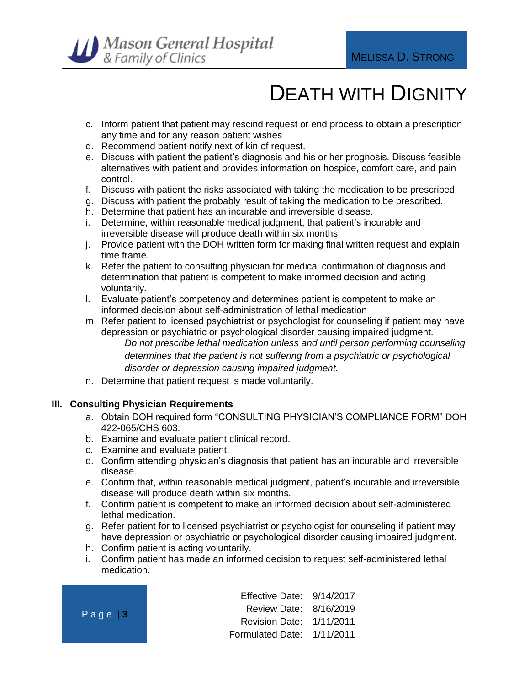

- c. Inform patient that patient may rescind request or end process to obtain a prescription any time and for any reason patient wishes
- d. Recommend patient notify next of kin of request.
- e. Discuss with patient the patient's diagnosis and his or her prognosis. Discuss feasible alternatives with patient and provides information on hospice, comfort care, and pain control.
- f. Discuss with patient the risks associated with taking the medication to be prescribed.
- g. Discuss with patient the probably result of taking the medication to be prescribed.
- h. Determine that patient has an incurable and irreversible disease.
- i. Determine, within reasonable medical judgment, that patient's incurable and irreversible disease will produce death within six months.
- j. Provide patient with the DOH written form for making final written request and explain time frame.
- k. Refer the patient to consulting physician for medical confirmation of diagnosis and determination that patient is competent to make informed decision and acting voluntarily.
- l. Evaluate patient's competency and determines patient is competent to make an informed decision about self-administration of lethal medication
- m. Refer patient to licensed psychiatrist or psychologist for counseling if patient may have depression or psychiatric or psychological disorder causing impaired judgment. *Do not prescribe lethal medication unless and until person performing counseling determines that the patient is not suffering from a psychiatric or psychological disorder or depression causing impaired judgment.*
- n. Determine that patient request is made voluntarily.

#### **III. Consulting Physician Requirements**

- a. Obtain DOH required form "CONSULTING PHYSICIAN'S COMPLIANCE FORM" DOH 422-065/CHS 603.
- b. Examine and evaluate patient clinical record.
- c. Examine and evaluate patient.
- d. Confirm attending physician's diagnosis that patient has an incurable and irreversible disease.
- e. Confirm that, within reasonable medical judgment, patient's incurable and irreversible disease will produce death within six months.
- f. Confirm patient is competent to make an informed decision about self-administered lethal medication.
- g. Refer patient for to licensed psychiatrist or psychologist for counseling if patient may have depression or psychiatric or psychological disorder causing impaired judgment.
- h. Confirm patient is acting voluntarily.
- i. Confirm patient has made an informed decision to request self-administered lethal medication.

| $Page$ 3 | Effective Date: 9/14/2017  |  |
|----------|----------------------------|--|
|          | Review Date: 8/16/2019     |  |
|          | Revision Date: 1/11/2011   |  |
|          | Formulated Date: 1/11/2011 |  |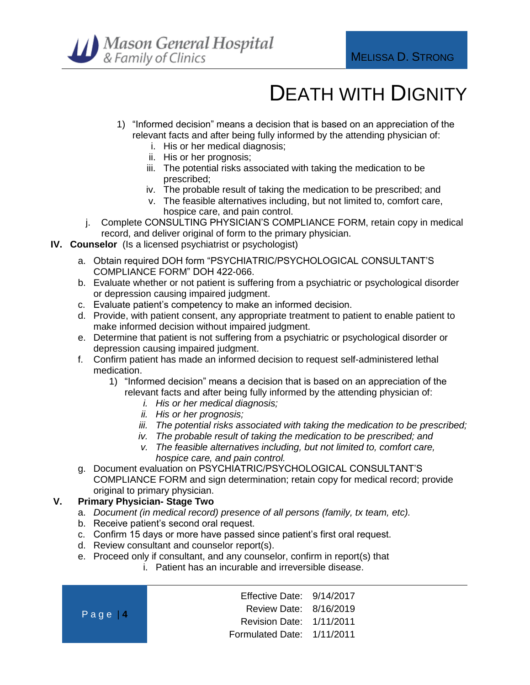

- 1) "Informed decision" means a decision that is based on an appreciation of the relevant facts and after being fully informed by the attending physician of:
	- i. His or her medical diagnosis;
	- ii. His or her prognosis;
	- iii. The potential risks associated with taking the medication to be prescribed;
	- iv. The probable result of taking the medication to be prescribed; and
	- v. The feasible alternatives including, but not limited to, comfort care, hospice care, and pain control.
- j. Complete CONSULTING PHYSICIAN'S COMPLIANCE FORM, retain copy in medical record, and deliver original of form to the primary physician.
- **IV. Counselor** (Is a licensed psychiatrist or psychologist)
	- a. Obtain required DOH form "PSYCHIATRIC/PSYCHOLOGICAL CONSULTANT'S COMPLIANCE FORM" DOH 422-066.
	- b. Evaluate whether or not patient is suffering from a psychiatric or psychological disorder or depression causing impaired judgment.
	- c. Evaluate patient's competency to make an informed decision.
	- d. Provide, with patient consent, any appropriate treatment to patient to enable patient to make informed decision without impaired judgment.
	- e. Determine that patient is not suffering from a psychiatric or psychological disorder or depression causing impaired judgment.
	- f. Confirm patient has made an informed decision to request self-administered lethal medication.
		- 1) "Informed decision" means a decision that is based on an appreciation of the relevant facts and after being fully informed by the attending physician of:
			- *i. His or her medical diagnosis;*
			- *ii. His or her prognosis;*
			- *iii. The potential risks associated with taking the medication to be prescribed;*
			- *iv. The probable result of taking the medication to be prescribed; and*
			- *v. The feasible alternatives including, but not limited to, comfort care, hospice care, and pain control.*
	- g. Document evaluation on PSYCHIATRIC/PSYCHOLOGICAL CONSULTANT'S COMPLIANCE FORM and sign determination; retain copy for medical record; provide original to primary physician.

#### **V. Primary Physician- Stage Two**

- a. *Document (in medical record) presence of all persons (family, tx team, etc).*
- b. Receive patient's second oral request.
- c. Confirm 15 days or more have passed since patient's first oral request.
- d. Review consultant and counselor report(s).
- e. Proceed only if consultant, and any counselor, confirm in report(s) that
	- i. Patient has an incurable and irreversible disease.

| $Page$ <sup>1</sup> | Effective Date: 9/14/2017  |  |
|---------------------|----------------------------|--|
|                     | Review Date: 8/16/2019     |  |
|                     | Revision Date: 1/11/2011   |  |
|                     | Formulated Date: 1/11/2011 |  |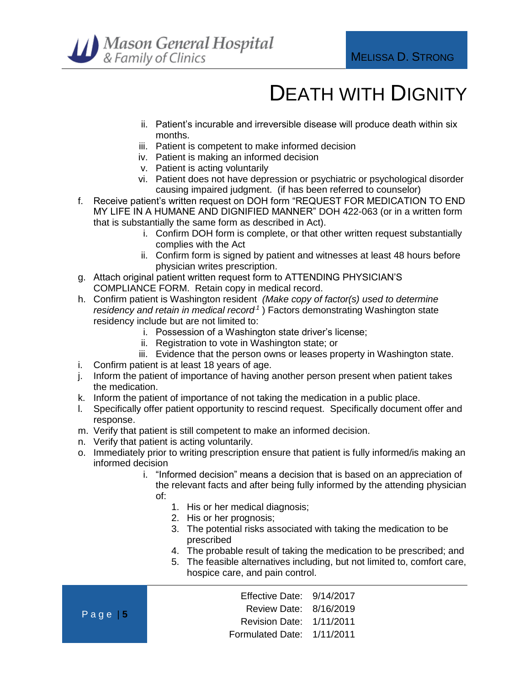

- ii. Patient's incurable and irreversible disease will produce death within six months.
- iii. Patient is competent to make informed decision
- iv. Patient is making an informed decision
- v. Patient is acting voluntarily
- vi. Patient does not have depression or psychiatric or psychological disorder causing impaired judgment. (if has been referred to counselor)
- f. Receive patient's written request on DOH form "REQUEST FOR MEDICATION TO END MY LIFE IN A HUMANE AND DIGNIFIED MANNER" DOH 422-063 (or in a written form that is substantially the same form as described in Act).
	- i. Confirm DOH form is complete, or that other written request substantially complies with the Act
	- ii. Confirm form is signed by patient and witnesses at least 48 hours before physician writes prescription.
- g. Attach original patient written request form to ATTENDING PHYSICIAN'S COMPLIANCE FORM. Retain copy in medical record.
- h. Confirm patient is Washington resident *(Make copy of factor(s) used to determine*  residency and retain in medical record<sup>1</sup>) Factors demonstrating Washington state residency include but are not limited to:
	- i. Possession of a Washington state driver's license;
	- ii. Registration to vote in Washington state; or
	- iii. Evidence that the person owns or leases property in Washington state.
- i. Confirm patient is at least 18 years of age.
- j. Inform the patient of importance of having another person present when patient takes the medication.
- k. Inform the patient of importance of not taking the medication in a public place.
- l. Specifically offer patient opportunity to rescind request. Specifically document offer and response.
- m. Verify that patient is still competent to make an informed decision.
- n. Verify that patient is acting voluntarily.
- o. Immediately prior to writing prescription ensure that patient is fully informed/is making an informed decision
	- i. "Informed decision" means a decision that is based on an appreciation of the relevant facts and after being fully informed by the attending physician
		- of:
			- 1. His or her medical diagnosis;
			- 2. His or her prognosis;
			- 3. The potential risks associated with taking the medication to be prescribed
			- 4. The probable result of taking the medication to be prescribed; and
			- 5. The feasible alternatives including, but not limited to, comfort care, hospice care, and pain control.

|          | Effective Date: 9/14/2017  |  |
|----------|----------------------------|--|
| $Page$ 5 | Review Date: 8/16/2019     |  |
|          | Revision Date: 1/11/2011   |  |
|          | Formulated Date: 1/11/2011 |  |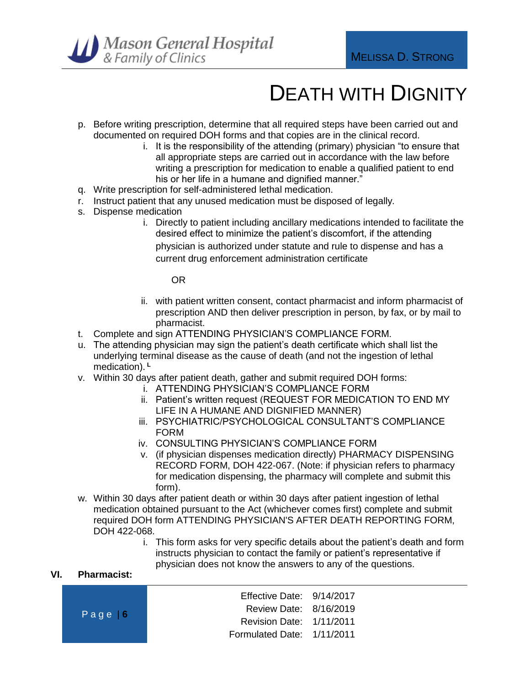

- p. Before writing prescription, determine that all required steps have been carried out and documented on required DOH forms and that copies are in the clinical record.
	- i. It is the responsibility of the attending (primary) physician "to ensure that all appropriate steps are carried out in accordance with the law before writing a prescription for medication to enable a qualified patient to end his or her life in a humane and dignified manner."
- q. Write prescription for self-administered lethal medication.
- r. Instruct patient that any unused medication must be disposed of legally*.*
- s. Dispense medication
	- i. Directly to patient including ancillary medications intended to facilitate the desired effect to minimize the patient's discomfort, if the attending physician is authorized under statute and rule to dispense and has a current drug enforcement administration certificate

OR

- ii. with patient written consent, contact pharmacist and inform pharmacist of prescription AND then deliver prescription in person, by fax, or by mail to pharmacist.
- t. Complete and sign ATTENDING PHYSICIAN'S COMPLIANCE FORM.
- u. The attending physician may sign the patient's death certificate which shall list the underlying terminal disease as the cause of death (and not the ingestion of lethal medication). **<sup>L</sup>**
- v. Within 30 days after patient death, gather and submit required DOH forms:
	- i. ATTENDING PHYSICIAN'S COMPLIANCE FORM
	- ii. Patient's written request (REQUEST FOR MEDICATION TO END MY LIFE IN A HUMANE AND DIGNIFIED MANNER)
	- iii. PSYCHIATRIC/PSYCHOLOGICAL CONSULTANT'S COMPLIANCE FORM
	- iv. CONSULTING PHYSICIAN'S COMPLIANCE FORM
	- v. (if physician dispenses medication directly) PHARMACY DISPENSING RECORD FORM, DOH 422-067. (Note: if physician refers to pharmacy for medication dispensing, the pharmacy will complete and submit this form).
- w. Within 30 days after patient death or within 30 days after patient ingestion of lethal medication obtained pursuant to the Act (whichever comes first) complete and submit required DOH form ATTENDING PHYSICIAN'S AFTER DEATH REPORTING FORM, DOH 422-068.
	- i. This form asks for very specific details about the patient's death and form instructs physician to contact the family or patient's representative if physician does not know the answers to any of the questions.

#### **VI. Pharmacist:**

| Page $6$ | Effective Date: $9/14/2017$ |  |
|----------|-----------------------------|--|
|          | Review Date: 8/16/2019      |  |
|          | Revision Date: 1/11/2011    |  |
|          | Formulated Date: 1/11/2011  |  |